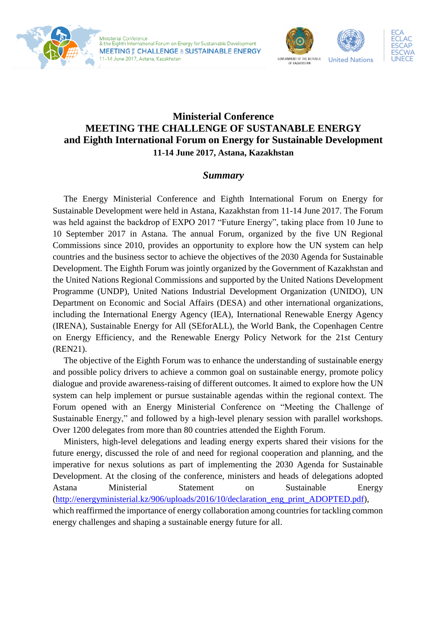



## **Ministerial Conference MEETING THE CHALLENGE OF SUSTANABLE ENERGY and Eighth International Forum on Energy for Sustainable Development 11-14 June 2017, Astana, Kazakhstan**

## *Summary*

The Energy Ministerial Conference and Eighth International Forum on Energy for Sustainable Development were held in Astana, Kazakhstan from 11-14 June 2017. The Forum was held against the backdrop of EXPO 2017 "Future Energy", taking place from 10 June to 10 September 2017 in Astana. The annual Forum, organized by the five UN Regional Commissions since 2010, provides an opportunity to explore how the UN system can help countries and the business sector to achieve the objectives of the 2030 Agenda for Sustainable Development. The Eighth Forum was jointly organized by the Government of Kazakhstan and the United Nations Regional Commissions and supported by the United Nations Development Programme (UNDP), United Nations Industrial Development Organization (UNIDO), UN Department on Economic and Social Affairs (DESA) and other international organizations, including the International Energy Agency (IEA), International Renewable Energy Agency (IRENA), Sustainable Energy for All (SEforALL), the World Bank, the Copenhagen Centre on Energy Efficiency, and the Renewable Energy Policy Network for the 21st Century (REN21).

The objective of the Eighth Forum was to enhance the understanding of sustainable energy and possible policy drivers to achieve a common goal on sustainable energy, promote policy dialogue and provide awareness-raising of different outcomes. It aimed to explore how the UN system can help implement or pursue sustainable agendas within the regional context. The Forum opened with an Energy Ministerial Conference on "Meeting the Challenge of Sustainable Energy," and followed by a high-level plenary session with parallel workshops. Over 1200 delegates from more than 80 countries attended the Eighth Forum.

Ministers, high-level delegations and leading energy experts shared their visions for the future energy, discussed the role of and need for regional cooperation and planning, and the imperative for nexus solutions as part of implementing the 2030 Agenda for Sustainable Development. At the closing of the conference, ministers and heads of delegations adopted Astana Ministerial Statement on Sustainable Energy [\(http://energyministerial.kz/906/uploads/2016/10/declaration\\_eng\\_print\\_ADOPTED.pdf\)](http://energyministerial.kz/906/uploads/2016/10/declaration_eng_print_ADOPTED.pdf), which reaffirmed the importance of energy collaboration among countries for tackling common energy challenges and shaping a sustainable energy future for all.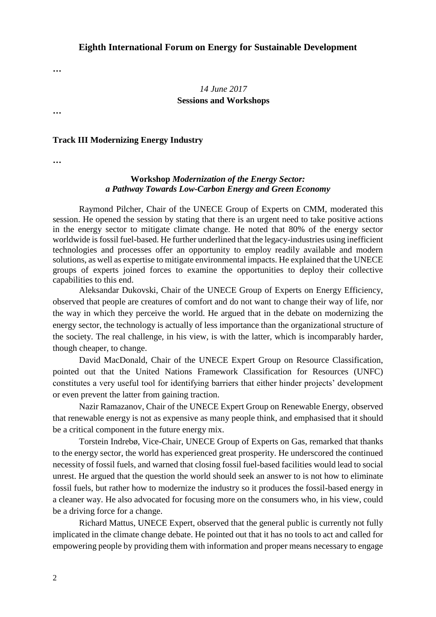*14 June 2017* **Sessions and Workshops**

## **Track III Modernizing Energy Industry**

**…**

**…**

**…**

## **Workshop** *Modernization of the Energy Sector: a Pathway Towards Low-Carbon Energy and Green Economy*

Raymond Pilcher, Chair of the UNECE Group of Experts on CMM, moderated this session. He opened the session by stating that there is an urgent need to take positive actions in the energy sector to mitigate climate change. He noted that 80% of the energy sector worldwide is fossil fuel-based. He further underlined that the legacy-industries using inefficient technologies and processes offer an opportunity to employ readily available and modern solutions, as well as expertise to mitigate environmental impacts. He explained that the UNECE groups of experts joined forces to examine the opportunities to deploy their collective capabilities to this end.

Aleksandar Dukovski, Chair of the UNECE Group of Experts on Energy Efficiency, observed that people are creatures of comfort and do not want to change their way of life, nor the way in which they perceive the world. He argued that in the debate on modernizing the energy sector, the technology is actually of less importance than the organizational structure of the society. The real challenge, in his view, is with the latter, which is incomparably harder, though cheaper, to change.

David MacDonald, Chair of the UNECE Expert Group on Resource Classification, pointed out that the United Nations Framework Classification for Resources (UNFC) constitutes a very useful tool for identifying barriers that either hinder projects' development or even prevent the latter from gaining traction.

Nazir Ramazanov, Chair of the UNECE Expert Group on Renewable Energy, observed that renewable energy is not as expensive as many people think, and emphasised that it should be a critical component in the future energy mix.

Torstein Indrebø, Vice-Chair, UNECE Group of Experts on Gas, remarked that thanks to the energy sector, the world has experienced great prosperity. He underscored the continued necessity of fossil fuels, and warned that closing fossil fuel-based facilities would lead to social unrest. He argued that the question the world should seek an answer to is not how to eliminate fossil fuels, but rather how to modernize the industry so it produces the fossil-based energy in a cleaner way. He also advocated for focusing more on the consumers who, in his view, could be a driving force for a change.

Richard Mattus, UNECE Expert, observed that the general public is currently not fully implicated in the climate change debate. He pointed out that it has no tools to act and called for empowering people by providing them with information and proper means necessary to engage